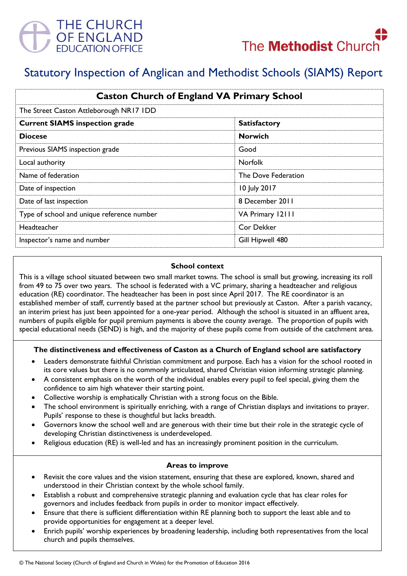



# Statutory Inspection of Anglican and Methodist Schools (SIAMS) Report

| <b>Caston Church of England VA Primary School</b><br>The Street Caston Attleborough NR17 IDD |                     |
|----------------------------------------------------------------------------------------------|---------------------|
|                                                                                              |                     |
| <b>Diocese</b>                                                                               | <b>Norwich</b>      |
| Previous SIAMS inspection grade                                                              | Good                |
| Local authority                                                                              | <b>Norfolk</b>      |
| Name of federation                                                                           | The Dove Federation |
| Date of inspection                                                                           | 10 July 2017        |
| Date of last inspection                                                                      | 8 December 2011     |
| Type of school and unique reference number                                                   | VA Primary 12111    |
| <b>Headteacher</b>                                                                           | Cor Dekker          |
| Inspector's name and number                                                                  | Gill Hipwell 480    |

#### **School context**

This is a village school situated between two small market towns. The school is small but growing, increasing its roll from 49 to 75 over two years. The school is federated with a VC primary, sharing a headteacher and religious education (RE) coordinator. The headteacher has been in post since April 2017. The RE coordinator is an established member of staff, currently based at the partner school but previously at Caston. After a parish vacancy, an interim priest has just been appointed for a one-year period. Although the school is situated in an affluent area, numbers of pupils eligible for pupil premium payments is above the county average. The proportion of pupils with special educational needs (SEND) is high, and the majority of these pupils come from outside of the catchment area.

#### **The distinctiveness and effectiveness of Caston as a Church of England school are satisfactory**

- Leaders demonstrate faithful Christian commitment and purpose. Each has a vision for the school rooted in its core values but there is no commonly articulated, shared Christian vision informing strategic planning.
- A consistent emphasis on the worth of the individual enables every pupil to feel special, giving them the confidence to aim high whatever their starting point.
- Collective worship is emphatically Christian with a strong focus on the Bible.
- The school environment is spiritually enriching, with a range of Christian displays and invitations to prayer. Pupils' response to these is thoughtful but lacks breadth.
- Governors know the school well and are generous with their time but their role in the strategic cycle of developing Christian distinctiveness is underdeveloped.
- Religious education (RE) is well-led and has an increasingly prominent position in the curriculum.

#### **Areas to improve**

- Revisit the core values and the vision statement, ensuring that these are explored, known, shared and understood in their Christian context by the whole school family.
- Establish a robust and comprehensive strategic planning and evaluation cycle that has clear roles for governors and includes feedback from pupils in order to monitor impact effectively.
- Ensure that there is sufficient differentiation within RE planning both to support the least able and to provide opportunities for engagement at a deeper level.
- Enrich pupils' worship experiences by broadening leadership, including both representatives from the local church and pupils themselves.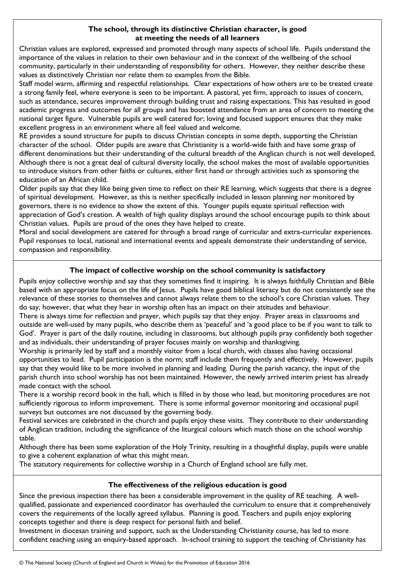#### **The school, through its distinctive Christian character, is good at meeting the needs of all learners**

Christian values are explored, expressed and promoted through many aspects of school life. Pupils understand the importance of the values in relation to their own behaviour and in the context of the wellbeing of the school community, particularly in their understanding of responsibility for others. However, they neither describe these values as distinctively Christian nor relate them to examples from the Bible.

Staff model warm, affirming and respectful relationships. Clear expectations of how others are to be treated create a strong family feel, where everyone is seen to be important. A pastoral, yet firm, approach to issues of concern, such as attendance, secures improvement through building trust and raising expectations. This has resulted in good academic progress and outcomes for all groups and has boosted attendance from an area of concern to meeting the national target figure. Vulnerable pupils are well catered for; loving and focused support ensures that they make excellent progress in an environment where all feel valued and welcome.

RE provides a sound structure for pupils to discuss Christian concepts in some depth, supporting the Christian character of the school. Older pupils are aware that Christianity is a world-wide faith and have some grasp of different denominations but their understanding of the cultural breadth of the Anglican church is not well developed. Although there is not a great deal of cultural diversity locally, the school makes the most of available opportunities to introduce visitors from other faiths or cultures, either first hand or through activities such as sponsoring the education of an African child.

Older pupils say that they like being given time to reflect on their RE learning, which suggests that there is a degree of spiritual development. However, as this is neither specifically included in lesson planning nor monitored by governors, there is no evidence to show the extent of this. Younger pupils equate spiritual reflection with appreciation of God's creation. A wealth of high quality displays around the school encourage pupils to think about Christian values. Pupils are proud of the ones they have helped to create.

Moral and social development are catered for through a broad range of curricular and extra-curricular experiences. Pupil responses to local, national and international events and appeals demonstrate their understanding of service, compassion and responsibility.

## **The impact of collective worship on the school community is satisfactory**

Pupils enjoy collective worship and say that they sometimes find it inspiring. It is always faithfully Christian and Bible based with an appropriate focus on the life of Jesus. Pupils have good biblical literacy but do not consistently see the relevance of these stories to themselves and cannot always relate them to the school's core Christian values. They do say, however, that what they hear in worship often has an impact on their attitudes and behaviour.

There is always time for reflection and prayer, which pupils say that they enjoy. Prayer areas in classrooms and outside are well-used by many pupils, who describe them as 'peaceful' and 'a good place to be if you want to talk to God'. Prayer is part of the daily routine, including in classrooms, but although pupils pray confidently both together and as individuals, their understanding of prayer focuses mainly on worship and thanksgiving.

Worship is primarily led by staff and a monthly visitor from a local church, with classes also having occasional opportunities to lead. Pupil participation is the norm; staff include them frequently and effectively. However, pupils say that they would like to be more involved in planning and leading. During the parish vacancy, the input of the parish church into school worship has not been maintained. However, the newly arrived interim priest has already made contact with the school.

There is a worship record book in the hall, which is filled in by those who lead, but monitoring procedures are not sufficiently rigorous to inform improvement. There is some informal governor monitoring and occasional pupil surveys but outcomes are not discussed by the governing body.

Festival services are celebrated in the church and pupils enjoy these visits. They contribute to their understanding of Anglican tradition, including the significance of the liturgical colours which match those on the school worship table.

Although there has been some exploration of the Holy Trinity, resulting in a thoughtful display, pupils were unable to give a coherent explanation of what this might mean.

The statutory requirements for collective worship in a Church of England school are fully met.

#### **The effectiveness of the religious education is good**

Since the previous inspection there has been a considerable improvement in the quality of RE teaching. A wellqualified, passionate and experienced coordinator has overhauled the curriculum to ensure that it comprehensively covers the requirements of the locally agreed syllabus. Planning is good. Teachers and pupils enjoy exploring concepts together and there is deep respect for personal faith and belief.

Investment in diocesan training and support, such as the Understanding Christianity course, has led to more confident teaching using an enquiry-based approach. In-school training to support the teaching of Christianity has